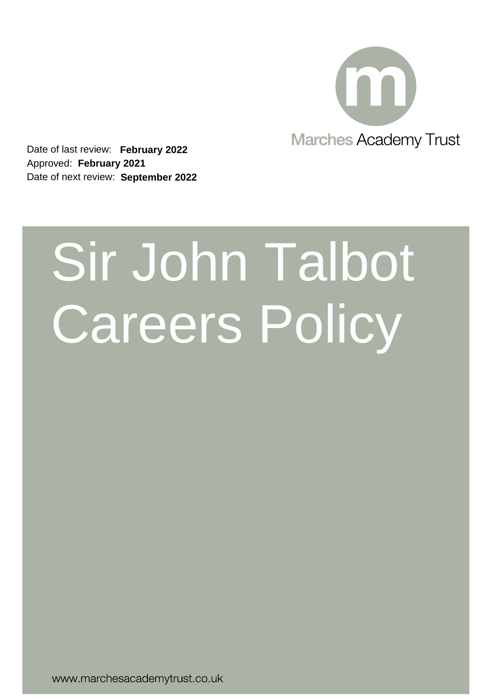

Date of last review: **February 2022** Approved: **February 2021** Date of next review: **September 2022**

# Sir John Talbot Careers Policy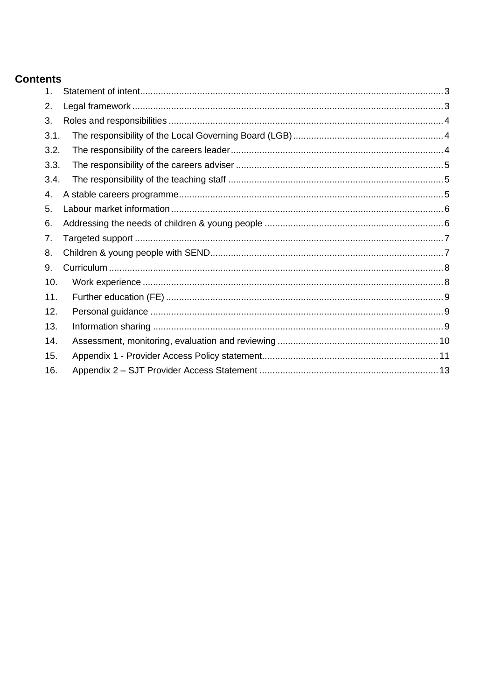# **Contents**

| 1.   |  |
|------|--|
| 2.   |  |
| 3.   |  |
| 3.1. |  |
| 3.2. |  |
| 3.3. |  |
| 3.4. |  |
| 4.   |  |
| 5.   |  |
| 6.   |  |
| 7.   |  |
| 8.   |  |
| 9.   |  |
| 10.  |  |
| 11.  |  |
| 12.  |  |
| 13.  |  |
| 14.  |  |
| 15.  |  |
| 16.  |  |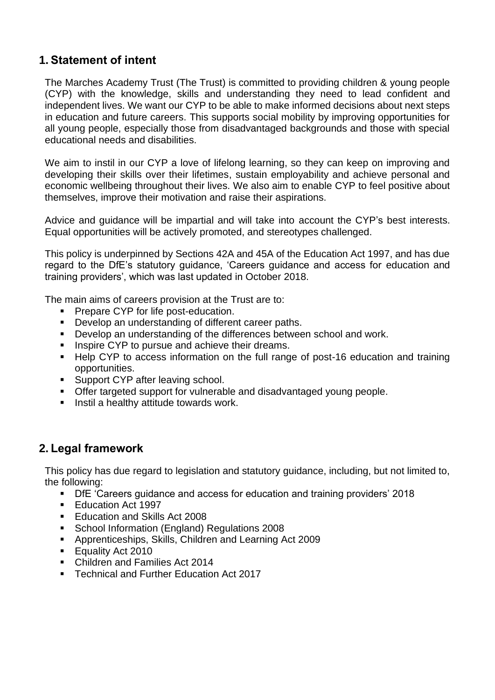# <span id="page-2-0"></span>**1. Statement of intent**

The Marches Academy Trust (The Trust) is committed to providing children & young people (CYP) with the knowledge, skills and understanding they need to lead confident and independent lives. We want our CYP to be able to make informed decisions about next steps in education and future careers. This supports social mobility by improving opportunities for all young people, especially those from disadvantaged backgrounds and those with special educational needs and disabilities.

We aim to instil in our CYP a love of lifelong learning, so they can keep on improving and developing their skills over their lifetimes, sustain employability and achieve personal and economic wellbeing throughout their lives. We also aim to enable CYP to feel positive about themselves, improve their motivation and raise their aspirations.

Advice and guidance will be impartial and will take into account the CYP's best interests. Equal opportunities will be actively promoted, and stereotypes challenged.

This policy is underpinned by Sections 42A and 45A of the Education Act 1997, and has due regard to the DfE's statutory guidance, 'Careers guidance and access for education and training providers', which was last updated in October 2018.

The main aims of careers provision at the Trust are to:

- Prepare CYP for life post-education.
- Develop an understanding of different career paths.
- Develop an understanding of the differences between school and work.
- Inspire CYP to pursue and achieve their dreams.
- Help CYP to access information on the full range of post-16 education and training opportunities.
- Support CYP after leaving school.
- Offer targeted support for vulnerable and disadvantaged young people.
- <span id="page-2-1"></span>■ Instil a healthy attitude towards work.

# **2. Legal framework**

This policy has due regard to legislation and statutory guidance, including, but not limited to, the following:

- DfE 'Careers guidance and access for education and training providers' 2018
- Education Act 1997
- Education and Skills Act 2008
- School Information (England) Regulations 2008
- Apprenticeships, Skills, Children and Learning Act 2009
- Equality Act 2010
- Children and Families Act 2014
- Technical and Further Education Act 2017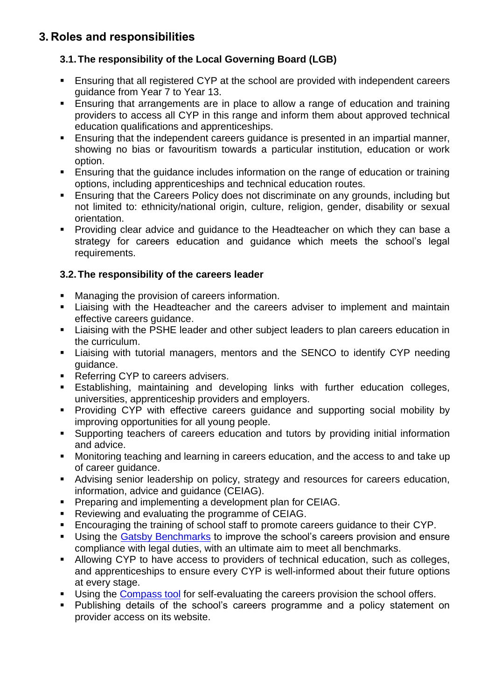# <span id="page-3-0"></span>**3. Roles and responsibilities**

## <span id="page-3-1"></span>**3.1.The responsibility of the Local Governing Board (LGB)**

- Ensuring that all registered CYP at the school are provided with independent careers guidance from Year 7 to Year 13.
- Ensuring that arrangements are in place to allow a range of education and training providers to access all CYP in this range and inform them about approved technical education qualifications and apprenticeships.
- Ensuring that the independent careers guidance is presented in an impartial manner, showing no bias or favouritism towards a particular institution, education or work option.
- Ensuring that the quidance includes information on the range of education or training options, including apprenticeships and technical education routes.
- Ensuring that the Careers Policy does not discriminate on any grounds, including but not limited to: ethnicity/national origin, culture, religion, gender, disability or sexual orientation.
- Providing clear advice and guidance to the Headteacher on which they can base a strategy for careers education and guidance which meets the school's legal requirements.

## <span id="page-3-2"></span>**3.2.The responsibility of the careers leader**

- Managing the provision of careers information.
- **E.** Liaising with the Headteacher and the careers adviser to implement and maintain effective careers guidance.
- Liaising with the PSHE leader and other subject leaders to plan careers education in the curriculum.
- **EXEL 12** Liaising with tutorial managers, mentors and the SENCO to identify CYP needing guidance.
- Referring CYP to careers advisers.
- **Establishing, maintaining and developing links with further education colleges,** universities, apprenticeship providers and employers.
- **•** Providing CYP with effective careers guidance and supporting social mobility by improving opportunities for all young people.
- Supporting teachers of careers education and tutors by providing initial information and advice.
- Monitoring teaching and learning in careers education, and the access to and take up of career guidance.
- **EXEDERITH** Advising senior leadership on policy, strategy and resources for careers education, information, advice and guidance (CEIAG).
- **Preparing and implementing a development plan for CEIAG.**
- Reviewing and evaluating the programme of CEIAG.
- Encouraging the training of school staff to promote careers guidance to their CYP.
- **EXEDEE IS Using the [Gatsby Benchmarks](http://www.gatsby.org.uk/education/focus-areas/good-career-guidance) to improve the school's careers provision and ensure** compliance with legal duties, with an ultimate aim to meet all benchmarks.
- Allowing CYP to have access to providers of technical education, such as colleges, and apprenticeships to ensure every CYP is well-informed about their future options at every stage.
- **EXECT** Using the [Compass tool](https://www.careersandenterprise.co.uk/schools-colleges/about-compass) for self-evaluating the careers provision the school offers.
- Publishing details of the school's careers programme and a policy statement on provider access on its website.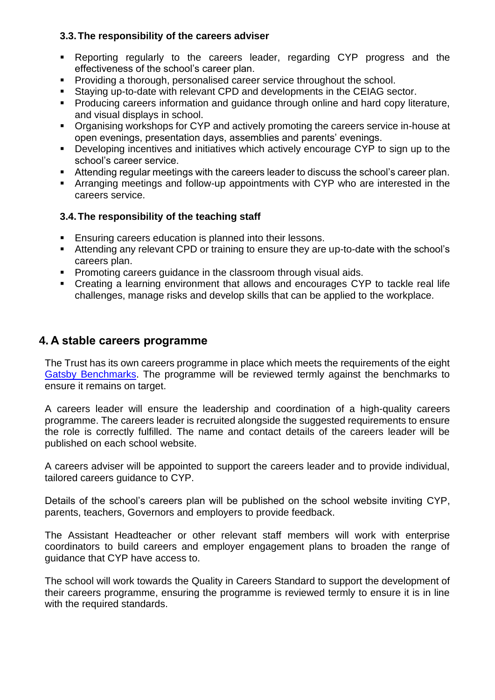#### <span id="page-4-0"></span>**3.3.The responsibility of the careers adviser**

- Reporting regularly to the careers leader, regarding CYP progress and the effectiveness of the school's career plan.
- Providing a thorough, personalised career service throughout the school.
- Staying up-to-date with relevant CPD and developments in the CEIAG sector.
- Producing careers information and guidance through online and hard copy literature, and visual displays in school.
- Organising workshops for CYP and actively promoting the careers service in-house at open evenings, presentation days, assemblies and parents' evenings.
- Developing incentives and initiatives which actively encourage CYP to sign up to the school's career service.
- Attending regular meetings with the careers leader to discuss the school's career plan.
- **EXP** Arranging meetings and follow-up appointments with CYP who are interested in the careers service.

#### <span id="page-4-1"></span>**3.4.The responsibility of the teaching staff**

- Ensuring careers education is planned into their lessons.
- Attending any relevant CPD or training to ensure they are up-to-date with the school's careers plan.
- Promoting careers guidance in the classroom through visual aids.
- Creating a learning environment that allows and encourages CYP to tackle real life challenges, manage risks and develop skills that can be applied to the workplace.

## <span id="page-4-2"></span>**4. A stable careers programme**

The Trust has its own careers programme in place which meets the requirements of the eight [Gatsby Benchmarks.](http://www.gatsby.org.uk/education/focus-areas/good-career-guidance) The programme will be reviewed termly against the benchmarks to ensure it remains on target.

A careers leader will ensure the leadership and coordination of a high-quality careers programme. The careers leader is recruited alongside the suggested requirements to ensure the role is correctly fulfilled. The name and contact details of the careers leader will be published on each school website.

A careers adviser will be appointed to support the careers leader and to provide individual, tailored careers guidance to CYP.

Details of the school's careers plan will be published on the school website inviting CYP, parents, teachers, Governors and employers to provide feedback.

The Assistant Headteacher or other relevant staff members will work with enterprise coordinators to build careers and employer engagement plans to broaden the range of guidance that CYP have access to.

The school will work towards the [Quality in Careers Standard](http://www.qualityincareers.org.uk/) to support the development of their careers programme, ensuring the programme is reviewed termly to ensure it is in line with the required standards.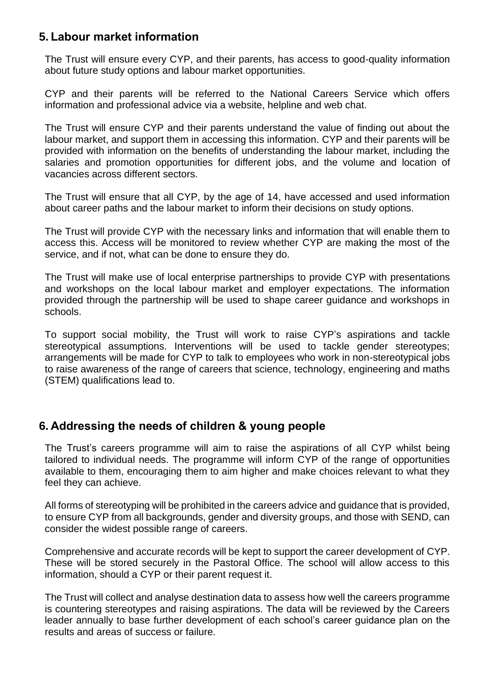# <span id="page-5-0"></span>**5. Labour market information**

The Trust will ensure every CYP, and their parents, has access to good-quality information about future study options and labour market opportunities.

CYP and their parents will be referred to the National Careers Service which offers information and professional advice via a website, helpline and web chat.

The Trust will ensure CYP and their parents understand the value of finding out about the labour market, and support them in accessing this information. CYP and their parents will be provided with information on the benefits of understanding the labour market, including the salaries and promotion opportunities for different jobs, and the volume and location of vacancies across different sectors.

The Trust will ensure that all CYP, by the age of 14, have accessed and used information about career paths and the labour market to inform their decisions on study options.

The Trust will provide CYP with the necessary links and information that will enable them to access this. Access will be monitored to review whether CYP are making the most of the service, and if not, what can be done to ensure they do.

The Trust will make use of local enterprise partnerships to provide CYP with presentations and workshops on the local labour market and employer expectations. The information provided through the partnership will be used to shape career guidance and workshops in schools.

To support social mobility, the Trust will work to raise CYP's aspirations and tackle stereotypical assumptions. Interventions will be used to tackle gender stereotypes; arrangements will be made for CYP to talk to employees who work in non-stereotypical jobs to raise awareness of the range of careers that science, technology, engineering and maths (STEM) qualifications lead to.

# <span id="page-5-1"></span>**6. Addressing the needs of children & young people**

The Trust's careers programme will aim to raise the aspirations of all CYP whilst being tailored to individual needs. The programme will inform CYP of the range of opportunities available to them, encouraging them to aim higher and make choices relevant to what they feel they can achieve.

All forms of stereotyping will be prohibited in the careers advice and guidance that is provided, to ensure CYP from all backgrounds, gender and diversity groups, and those with SEND, can consider the widest possible range of careers.

Comprehensive and accurate records will be kept to support the career development of CYP. These will be stored securely in the Pastoral Office. The school will allow access to this information, should a CYP or their parent request it.

The Trust will collect and analyse destination data to assess how well the careers programme is countering stereotypes and raising aspirations. The data will be reviewed by the Careers leader annually to base further development of each school's career guidance plan on the results and areas of success or failure.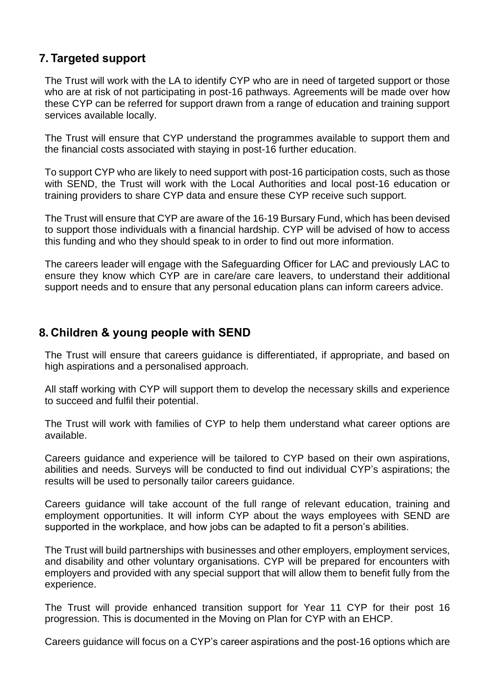# <span id="page-6-0"></span>**7. Targeted support**

The Trust will work with the LA to identify CYP who are in need of targeted support or those who are at risk of not participating in post-16 pathways. Agreements will be made over how these CYP can be referred for support drawn from a range of education and training support services available locally.

The Trust will ensure that CYP understand the programmes available to support them and the financial costs associated with staying in post-16 further education.

To support CYP who are likely to need support with post-16 participation costs, such as those with SEND, the Trust will work with the Local Authorities and local post-16 education or training providers to share CYP data and ensure these CYP receive such support.

The Trust will ensure that CYP are aware of the 16-19 Bursary Fund, which has been devised to support those individuals with a financial hardship. CYP will be advised of how to access this funding and who they should speak to in order to find out more information.

The careers leader will engage with the Safeguarding Officer for LAC and previously LAC to ensure they know which CYP are in care/are care leavers, to understand their additional support needs and to ensure that any personal education plans can inform careers advice.

## <span id="page-6-1"></span>**8. Children & young people with SEND**

The Trust will ensure that careers guidance is differentiated, if appropriate, and based on high aspirations and a personalised approach.

All staff working with CYP will support them to develop the necessary skills and experience to succeed and fulfil their potential.

The Trust will work with families of CYP to help them understand what career options are available.

Careers guidance and experience will be tailored to CYP based on their own aspirations, abilities and needs. Surveys will be conducted to find out individual CYP's aspirations; the results will be used to personally tailor careers guidance.

Careers guidance will take account of the full range of relevant education, training and employment opportunities. It will inform CYP about the ways employees with SEND are supported in the workplace, and how jobs can be adapted to fit a person's abilities.

The Trust will build partnerships with businesses and other employers, employment services, and disability and other voluntary organisations. CYP will be prepared for encounters with employers and provided with any special support that will allow them to benefit fully from the experience.

The Trust will provide enhanced transition support for Year 11 CYP for their post 16 progression. This is documented in the Moving on Plan for CYP with an EHCP.

Careers guidance will focus on a CYP's career aspirations and the post-16 options which are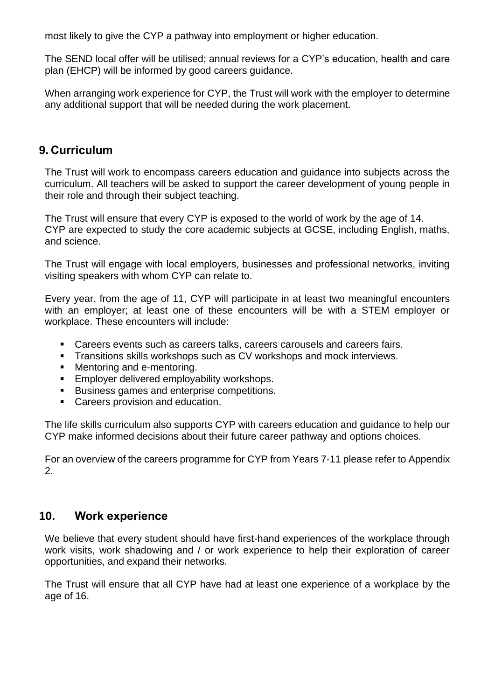most likely to give the CYP a pathway into employment or higher education.

The SEND local offer will be utilised; annual reviews for a CYP's education, health and care plan (EHCP) will be informed by good careers guidance.

When arranging work experience for CYP, the Trust will work with the employer to determine any additional support that will be needed during the work placement.

## <span id="page-7-0"></span>**9. Curriculum**

The Trust will work to encompass careers education and guidance into subjects across the curriculum. All teachers will be asked to support the career development of young people in their role and through their subject teaching.

The Trust will ensure that every CYP is exposed to the world of work by the age of 14. CYP are expected to study the core academic subjects at GCSE, including English, maths, and science.

The Trust will engage with local employers, businesses and professional networks, inviting visiting speakers with whom CYP can relate to.

Every year, from the age of 11, CYP will participate in at least two meaningful encounters with an employer; at least one of these encounters will be with a STEM employer or workplace. These encounters will include:

- Careers events such as careers talks, careers carousels and careers fairs.
- **EXECT** Transitions skills workshops such as CV workshops and mock interviews.
- Mentoring and e-mentoring.
- Employer delivered employability workshops.
- Business games and enterprise competitions.
- Careers provision and education.

The life skills curriculum also supports CYP with careers education and guidance to help our CYP make informed decisions about their future career pathway and options choices.

For an overview of the careers programme for CYP from Years 7-11 please refer to Appendix 2.

## <span id="page-7-1"></span>**10. Work experience**

We believe that every student should have first-hand experiences of the workplace through work visits, work shadowing and / or work experience to help their exploration of career opportunities, and expand their networks.

The Trust will ensure that all CYP have had at least one experience of a workplace by the age of 16.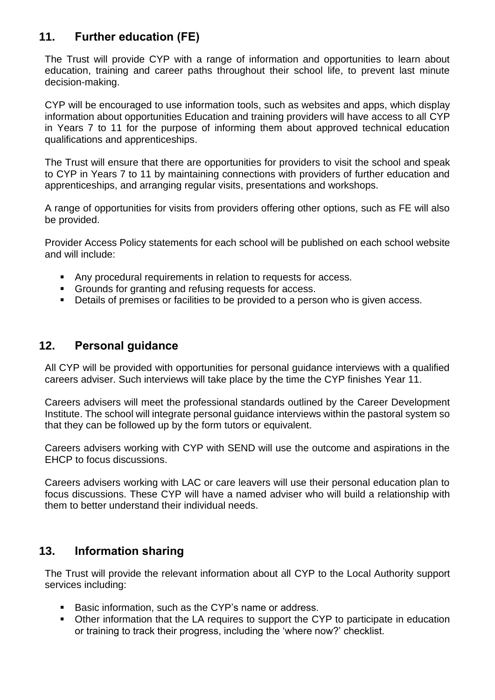# <span id="page-8-0"></span>**11. Further education (FE)**

The Trust will provide CYP with a range of information and opportunities to learn about education, training and career paths throughout their school life, to prevent last minute decision-making.

CYP will be encouraged to use information tools, such as websites and apps, which display information about opportunities Education and training providers will have access to all CYP in Years 7 to 11 for the purpose of informing them about approved technical education qualifications and apprenticeships.

The Trust will ensure that there are opportunities for providers to visit the school and speak to CYP in Years 7 to 11 by maintaining connections with providers of further education and apprenticeships, and arranging regular visits, presentations and workshops.

A range of opportunities for visits from providers offering other options, such as FE will also be provided.

Provider Access Policy statements for each school will be published on each school website and will include:

- Any procedural requirements in relation to requests for access.
- Grounds for granting and refusing requests for access.
- Details of premises or facilities to be provided to a person who is given access.

## <span id="page-8-1"></span>**12. Personal guidance**

All CYP will be provided with opportunities for personal guidance interviews with a qualified careers adviser. Such interviews will take place by the time the CYP finishes Year 11.

Careers advisers will meet the professional standards outlined by the [Career Development](http://www.thecdi.net/Professional-Register-)  [Institute.](http://www.thecdi.net/Professional-Register-) The school will integrate personal guidance interviews within the pastoral system so that they can be followed up by the form tutors or equivalent.

Careers advisers working with CYP with SEND will use the outcome and aspirations in the EHCP to focus discussions.

Careers advisers working with LAC or care leavers will use their personal education plan to focus discussions. These CYP will have a named adviser who will build a relationship with them to better understand their individual needs.

## <span id="page-8-2"></span>**13. Information sharing**

The Trust will provide the relevant information about all CYP to the Local Authority support services including:

- Basic information, such as the CYP's name or address.
- Other information that the LA requires to support the CYP to participate in education or training to track their progress, including the 'where now?' checklist.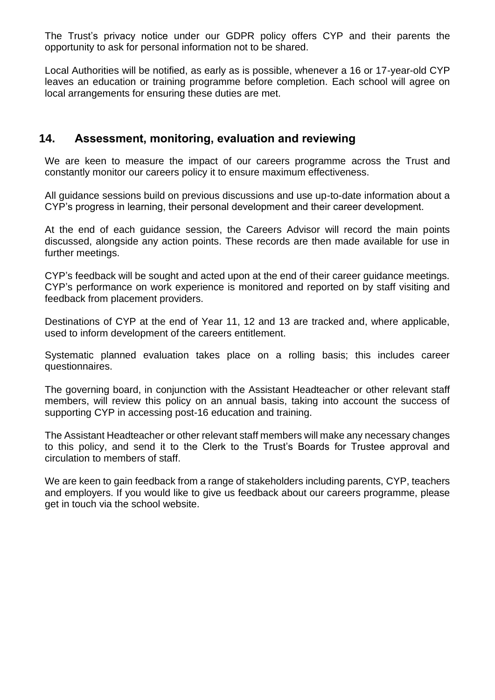The Trust's privacy notice under our GDPR policy offers CYP and their parents the opportunity to ask for personal information not to be shared.

Local Authorities will be notified, as early as is possible, whenever a 16 or 17-year-old CYP leaves an education or training programme before completion. Each school will agree on local arrangements for ensuring these duties are met.

## <span id="page-9-0"></span>**14. Assessment, monitoring, evaluation and reviewing**

We are keen to measure the impact of our careers programme across the Trust and constantly monitor our careers policy it to ensure maximum effectiveness.

All guidance sessions build on previous discussions and use up-to-date information about a CYP's progress in learning, their personal development and their career development.

At the end of each guidance session, the Careers Advisor will record the main points discussed, alongside any action points. These records are then made available for use in further meetings.

CYP's feedback will be sought and acted upon at the end of their career guidance meetings. CYP's performance on work experience is monitored and reported on by staff visiting and feedback from placement providers.

Destinations of CYP at the end of Year 11, 12 and 13 are tracked and, where applicable, used to inform development of the careers entitlement.

Systematic planned evaluation takes place on a rolling basis; this includes career questionnaires.

The governing board, in conjunction with the Assistant Headteacher or other relevant staff members, will review this policy on an annual basis, taking into account the success of supporting CYP in accessing post-16 education and training.

The Assistant Headteacher or other relevant staff members will make any necessary changes to this policy, and send it to the Clerk to the Trust's Boards for Trustee approval and circulation to members of staff.

We are keen to gain feedback from a range of stakeholders including parents, CYP, teachers and employers. If you would like to give us feedback about our careers programme, please get in touch via the school website.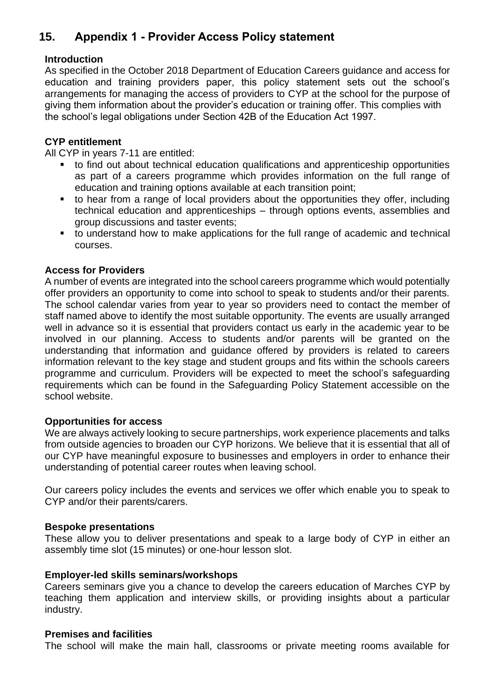# <span id="page-10-0"></span>**15. Appendix 1 - Provider Access Policy statement**

#### **Introduction**

As specified in the October 2018 Department of Education Careers guidance and access for education and training providers paper, this policy statement sets out the school's arrangements for managing the access of providers to CYP at the school for the purpose of giving them information about the provider's education or training offer. This complies with the school's legal obligations under Section 42B of the Education Act 1997.

#### **CYP entitlement**

All CYP in years 7-11 are entitled:

- to find out about technical education qualifications and apprenticeship opportunities as part of a careers programme which provides information on the full range of education and training options available at each transition point;
- to hear from a range of local providers about the opportunities they offer, including technical education and apprenticeships – through options events, assemblies and group discussions and taster events;
- to understand how to make applications for the full range of academic and technical courses.

#### **Access for Providers**

A number of events are integrated into the school careers programme which would potentially offer providers an opportunity to come into school to speak to students and/or their parents. The school calendar varies from year to year so providers need to contact the member of staff named above to identify the most suitable opportunity. The events are usually arranged well in advance so it is essential that providers contact us early in the academic year to be involved in our planning. Access to students and/or parents will be granted on the understanding that information and guidance offered by providers is related to careers information relevant to the key stage and student groups and fits within the schools careers programme and curriculum. Providers will be expected to meet the school's safeguarding requirements which can be found in the Safeguarding Policy Statement accessible on the school website.

#### **Opportunities for access**

We are always actively looking to secure partnerships, work experience placements and talks from outside agencies to broaden our CYP horizons. We believe that it is essential that all of our CYP have meaningful exposure to businesses and employers in order to enhance their understanding of potential career routes when leaving school.

Our careers policy includes the events and services we offer which enable you to speak to CYP and/or their parents/carers.

#### **Bespoke presentations**

These allow you to deliver presentations and speak to a large body of CYP in either an assembly time slot (15 minutes) or one-hour lesson slot.

#### **Employer-led skills seminars/workshops**

Careers seminars give you a chance to develop the careers education of Marches CYP by teaching them application and interview skills, or providing insights about a particular industry.

#### **Premises and facilities**

The school will make the main hall, classrooms or private meeting rooms available for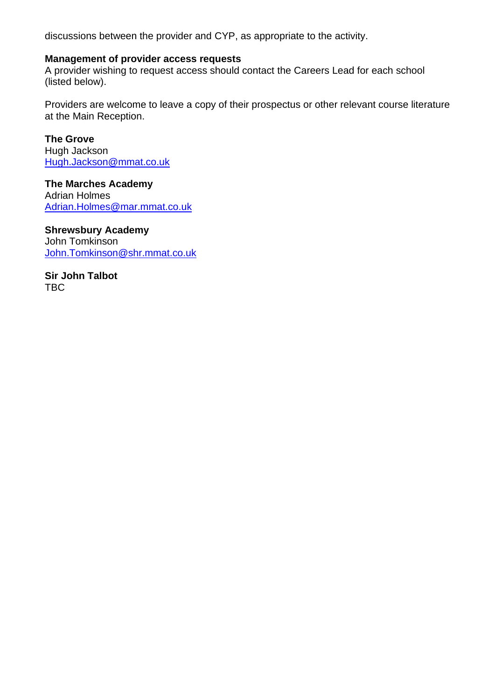discussions between the provider and CYP, as appropriate to the activity.

#### **Management of provider access requests**

A provider wishing to request access should contact the Careers Lead for each school (listed below).

Providers are welcome to leave a copy of their prospectus or other relevant course literature at the Main Reception.

**The Grove** Hugh Jackson [Hugh.Jackson@mmat.co.uk](mailto:Hugh.Jackson@mmat.co.uk)

**The Marches Academy** Adrian Holmes [Adrian.Holmes@mar.mmat.co.uk](mailto:Adrian.Holmes@mar.mmat.co.uk)

**Shrewsbury Academy** John Tomkinson [John.Tomkinson@shr.mmat.co.uk](mailto:John.Tomkinson@shr.mmat.co.uk)

**Sir John Talbot** TBC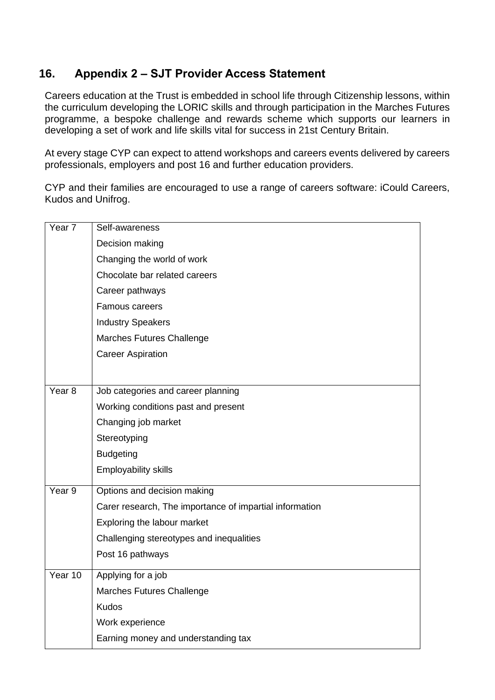# <span id="page-12-0"></span>**16. Appendix 2 – SJT Provider Access Statement**

Careers education at the Trust is embedded in school life through Citizenship lessons, within the curriculum developing the LORIC skills and through participation in the Marches Futures programme, a bespoke challenge and rewards scheme which supports our learners in developing a set of work and life skills vital for success in 21st Century Britain.

At every stage CYP can expect to attend workshops and careers events delivered by careers professionals, employers and post 16 and further education providers.

CYP and their families are encouraged to use a range of careers software: iCould Careers, Kudos and Unifrog.

| Year <sub>7</sub> | Self-awareness                                          |  |  |
|-------------------|---------------------------------------------------------|--|--|
|                   | Decision making                                         |  |  |
|                   | Changing the world of work                              |  |  |
|                   | Chocolate bar related careers                           |  |  |
|                   | Career pathways                                         |  |  |
|                   | Famous careers                                          |  |  |
|                   | <b>Industry Speakers</b>                                |  |  |
|                   | Marches Futures Challenge                               |  |  |
|                   | <b>Career Aspiration</b>                                |  |  |
|                   |                                                         |  |  |
| Year <sub>8</sub> | Job categories and career planning                      |  |  |
|                   | Working conditions past and present                     |  |  |
|                   | Changing job market                                     |  |  |
|                   | Stereotyping                                            |  |  |
|                   | <b>Budgeting</b>                                        |  |  |
|                   | <b>Employability skills</b>                             |  |  |
| Year <sub>9</sub> | Options and decision making                             |  |  |
|                   | Carer research, The importance of impartial information |  |  |
|                   | Exploring the labour market                             |  |  |
|                   | Challenging stereotypes and inequalities                |  |  |
|                   | Post 16 pathways                                        |  |  |
| Year 10           | Applying for a job                                      |  |  |
|                   | Marches Futures Challenge                               |  |  |
|                   | <b>Kudos</b>                                            |  |  |
|                   | Work experience                                         |  |  |
|                   | Earning money and understanding tax                     |  |  |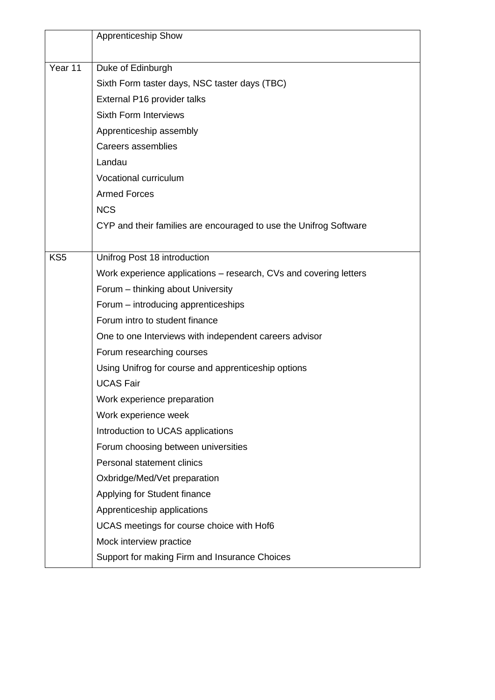|                 | <b>Apprenticeship Show</b>                                        |
|-----------------|-------------------------------------------------------------------|
|                 |                                                                   |
| Year 11         | Duke of Edinburgh                                                 |
|                 | Sixth Form taster days, NSC taster days (TBC)                     |
|                 | External P16 provider talks                                       |
|                 | <b>Sixth Form Interviews</b>                                      |
|                 | Apprenticeship assembly                                           |
|                 | Careers assemblies                                                |
|                 | Landau                                                            |
|                 | Vocational curriculum                                             |
|                 | <b>Armed Forces</b>                                               |
|                 | <b>NCS</b>                                                        |
|                 | CYP and their families are encouraged to use the Unifrog Software |
|                 |                                                                   |
| KS <sub>5</sub> | Unifrog Post 18 introduction                                      |
|                 | Work experience applications – research, CVs and covering letters |
|                 | Forum - thinking about University                                 |
|                 | Forum – introducing apprenticeships                               |
|                 | Forum intro to student finance                                    |
|                 | One to one Interviews with independent careers advisor            |
|                 | Forum researching courses                                         |
|                 | Using Unifrog for course and apprenticeship options               |
|                 | <b>UCAS Fair</b>                                                  |
|                 | Work experience preparation                                       |
|                 | Work experience week                                              |
|                 | Introduction to UCAS applications                                 |
|                 | Forum choosing between universities                               |
|                 | Personal statement clinics                                        |
|                 | Oxbridge/Med/Vet preparation                                      |
|                 | Applying for Student finance                                      |
|                 | Apprenticeship applications                                       |
|                 | UCAS meetings for course choice with Hof6                         |
|                 | Mock interview practice                                           |
|                 | Support for making Firm and Insurance Choices                     |